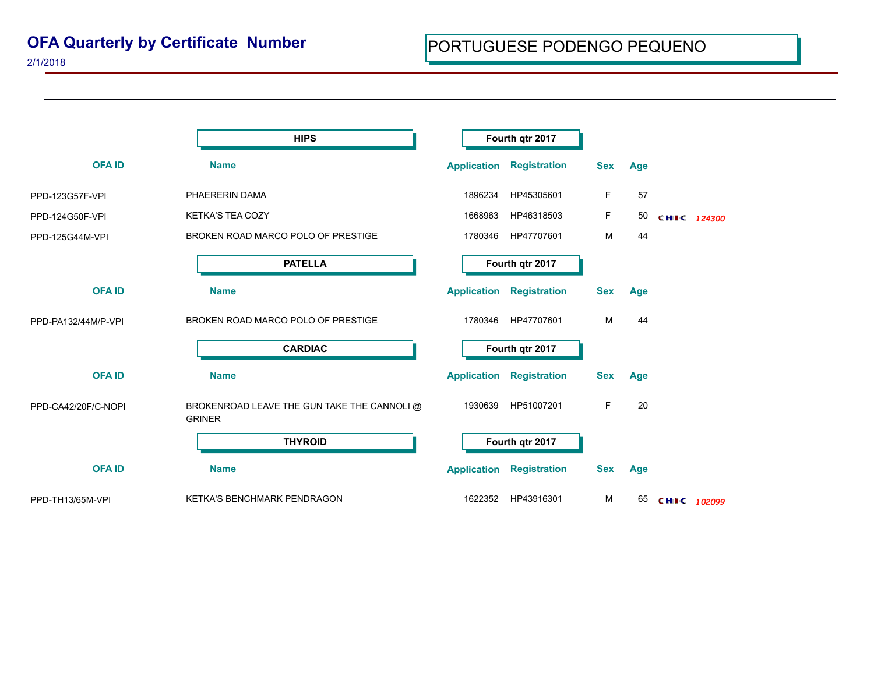2/1/2018